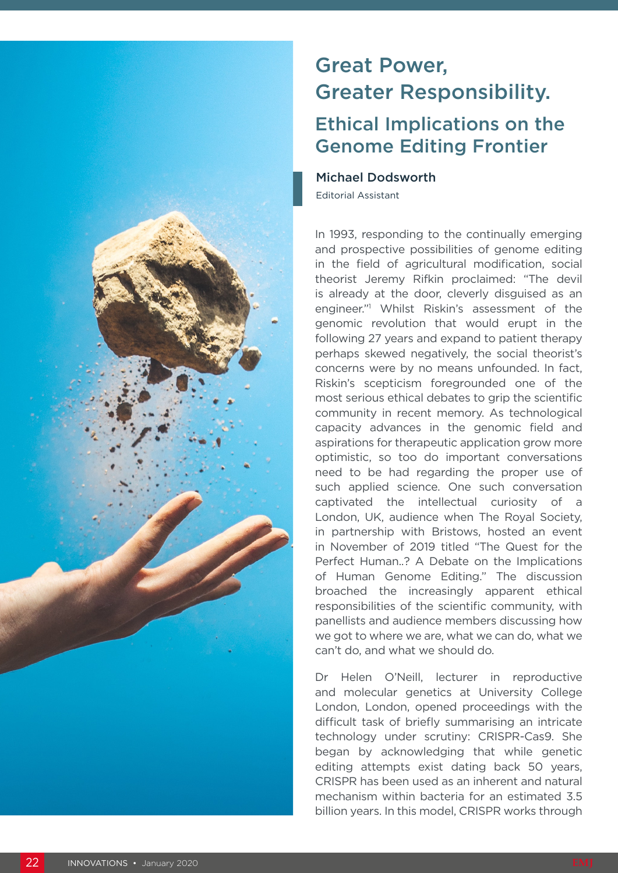

## Great Power, Greater Responsibility. Ethical Implications on the

## Genome Editing Frontier

## Michael Dodsworth

Editorial Assistant

In 1993, responding to the continually emerging and prospective possibilities of genome editing in the field of agricultural modification, social theorist Jeremy Rifkin proclaimed: "The devil is already at the door, cleverly disguised as an engineer."1 Whilst Riskin's assessment of the genomic revolution that would erupt in the following 27 years and expand to patient therapy perhaps skewed negatively, the social theorist's concerns were by no means unfounded. In fact, Riskin's scepticism foregrounded one of the most serious ethical debates to grip the scientific community in recent memory. As technological capacity advances in the genomic field and aspirations for therapeutic application grow more optimistic, so too do important conversations need to be had regarding the proper use of such applied science. One such conversation captivated the intellectual curiosity of a London, UK, audience when The Royal Society, in partnership with Bristows, hosted an event in November of 2019 titled "The Quest for the Perfect Human..? A Debate on the Implications of Human Genome Editing." The discussion broached the increasingly apparent ethical responsibilities of the scientific community, with panellists and audience members discussing how we got to where we are, what we can do, what we can't do, and what we should do.

Dr Helen O'Neill, lecturer in reproductive and molecular genetics at University College London, London, opened proceedings with the difficult task of briefly summarising an intricate technology under scrutiny: CRISPR-Cas9. She began by acknowledging that while genetic editing attempts exist dating back 50 years, CRISPR has been used as an inherent and natural mechanism within bacteria for an estimated 3.5 billion years. In this model, CRISPR works through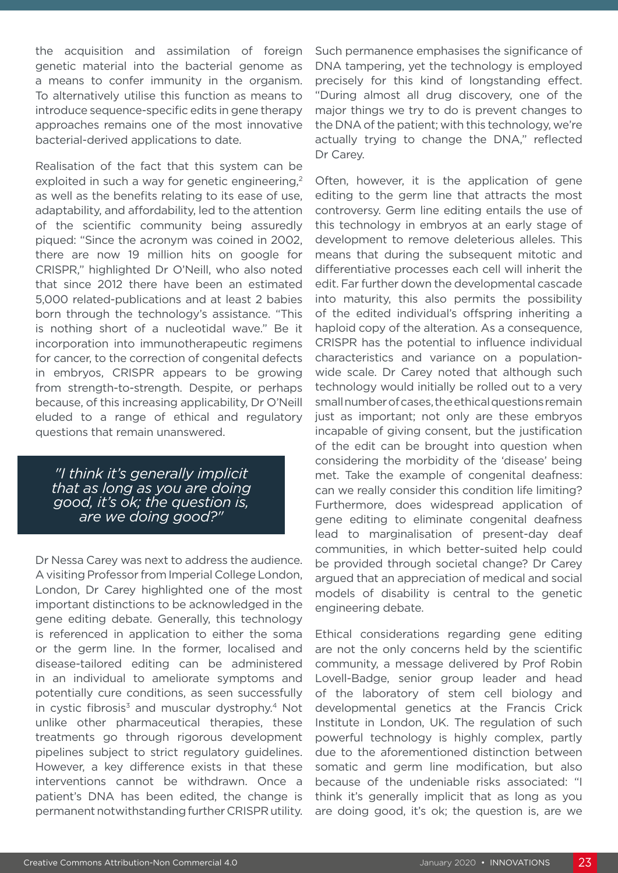the acquisition and assimilation of foreign genetic material into the bacterial genome as a means to confer immunity in the organism. To alternatively utilise this function as means to introduce sequence-specific edits in gene therapy approaches remains one of the most innovative bacterial-derived applications to date.

Realisation of the fact that this system can be exploited in such a way for genetic engineering.<sup>2</sup> as well as the benefits relating to its ease of use, adaptability, and affordability, led to the attention of the scientific community being assuredly piqued: "Since the acronym was coined in 2002, there are now 19 million hits on google for CRISPR," highlighted Dr O'Neill, who also noted that since 2012 there have been an estimated 5,000 related-publications and at least 2 babies born through the technology's assistance. "This is nothing short of a nucleotidal wave." Be it incorporation into immunotherapeutic regimens for cancer, to the correction of congenital defects in embryos, CRISPR appears to be growing from strength-to-strength. Despite, or perhaps because, of this increasing applicability, Dr O'Neill eluded to a range of ethical and regulatory questions that remain unanswered.

*"I think it's generally implicit that as long as you are doing good, it's ok; the question is, are we doing good?"*

Dr Nessa Carey was next to address the audience. A visiting Professor from Imperial College London, London, Dr Carey highlighted one of the most important distinctions to be acknowledged in the gene editing debate. Generally, this technology is referenced in application to either the soma or the germ line. In the former, localised and disease-tailored editing can be administered in an individual to ameliorate symptoms and potentially cure conditions, as seen successfully in cystic fibrosis<sup>3</sup> and muscular dystrophy.<sup>4</sup> Not unlike other pharmaceutical therapies, these treatments go through rigorous development pipelines subject to strict regulatory guidelines. However, a key difference exists in that these interventions cannot be withdrawn. Once a patient's DNA has been edited, the change is permanent notwithstanding further CRISPR utility.

Such permanence emphasises the significance of DNA tampering, yet the technology is employed precisely for this kind of longstanding effect. "During almost all drug discovery, one of the major things we try to do is prevent changes to the DNA of the patient; with this technology, we're actually trying to change the DNA," reflected Dr Carey.

Often, however, it is the application of gene editing to the germ line that attracts the most controversy. Germ line editing entails the use of this technology in embryos at an early stage of development to remove deleterious alleles. This means that during the subsequent mitotic and differentiative processes each cell will inherit the edit. Far further down the developmental cascade into maturity, this also permits the possibility of the edited individual's offspring inheriting a haploid copy of the alteration. As a consequence, CRISPR has the potential to influence individual characteristics and variance on a populationwide scale. Dr Carey noted that although such technology would initially be rolled out to a very small number of cases, the ethical questions remain just as important; not only are these embryos incapable of giving consent, but the justification of the edit can be brought into question when considering the morbidity of the 'disease' being met. Take the example of congenital deafness: can we really consider this condition life limiting? Furthermore, does widespread application of gene editing to eliminate congenital deafness lead to marginalisation of present-day deaf communities, in which better-suited help could be provided through societal change? Dr Carey argued that an appreciation of medical and social models of disability is central to the genetic engineering debate.

Ethical considerations regarding gene editing are not the only concerns held by the scientific community, a message delivered by Prof Robin Lovell-Badge, senior group leader and head of the laboratory of stem cell biology and developmental genetics at the Francis Crick Institute in London, UK. The regulation of such powerful technology is highly complex, partly due to the aforementioned distinction between somatic and germ line modification, but also because of the undeniable risks associated: "I think it's generally implicit that as long as you are doing good, it's ok; the question is, are we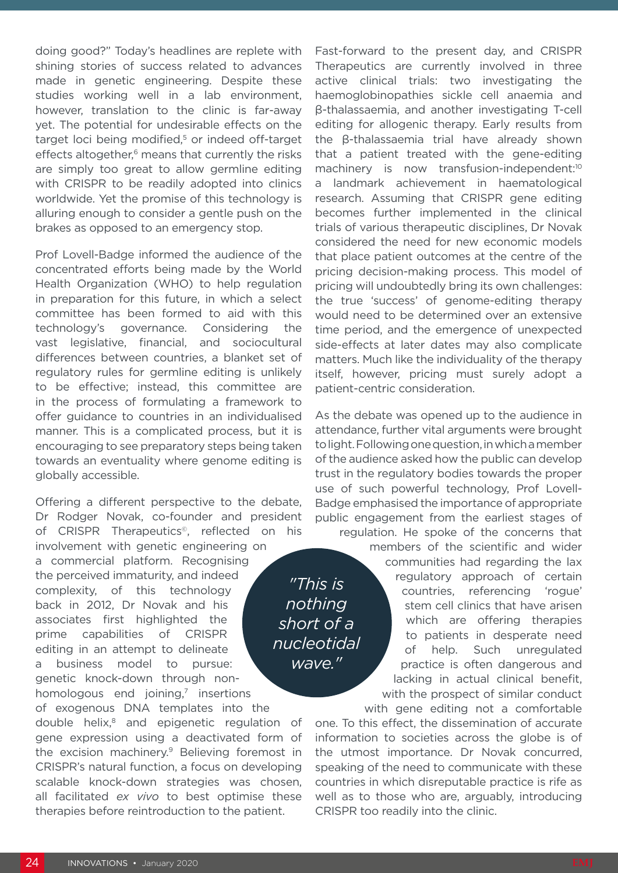doing good?" Today's headlines are replete with shining stories of success related to advances made in genetic engineering. Despite these studies working well in a lab environment, however, translation to the clinic is far-away yet. The potential for undesirable effects on the target loci being modified,<sup>5</sup> or indeed off-target effects altogether,<sup>6</sup> means that currently the risks are simply too great to allow germline editing with CRISPR to be readily adopted into clinics worldwide. Yet the promise of this technology is alluring enough to consider a gentle push on the brakes as opposed to an emergency stop.

Prof Lovell-Badge informed the audience of the concentrated efforts being made by the World Health Organization (WHO) to help regulation in preparation for this future, in which a select committee has been formed to aid with this technology's governance. Considering the vast legislative, financial, and sociocultural differences between countries, a blanket set of regulatory rules for germline editing is unlikely to be effective; instead, this committee are in the process of formulating a framework to offer guidance to countries in an individualised manner. This is a complicated process, but it is encouraging to see preparatory steps being taken towards an eventuality where genome editing is globally accessible.

Offering a different perspective to the debate, Dr Rodger Novak, co-founder and president of CRISPR Therapeutics<sup>®</sup>, reflected on his involvement with genetic engineering on a commercial platform. Recognising the perceived immaturity, and indeed complexity, of this technology back in 2012, Dr Novak and his associates first highlighted the prime capabilities of CRISPR editing in an attempt to delineate a business model to pursue: genetic knock-down through nonhomologous end joining, $<sup>7</sup>$  insertions</sup> *short of a nucleotidal* 

of exogenous DNA templates into the double helix,<sup>8</sup> and epigenetic regulation of gene expression using a deactivated form of the excision machinery.<sup>9</sup> Believing foremost in CRISPR's natural function, a focus on developing scalable knock-down strategies was chosen, all facilitated *ex vivo* to best optimise these therapies before reintroduction to the patient.

Fast-forward to the present day, and CRISPR Therapeutics are currently involved in three active clinical trials: two investigating the haemoglobinopathies sickle cell anaemia and β-thalassaemia, and another investigating T-cell editing for allogenic therapy. Early results from the β-thalassaemia trial have already shown that a patient treated with the gene-editing machinery is now transfusion-independent:<sup>10</sup> a landmark achievement in haematological research. Assuming that CRISPR gene editing becomes further implemented in the clinical trials of various therapeutic disciplines, Dr Novak considered the need for new economic models that place patient outcomes at the centre of the pricing decision-making process. This model of pricing will undoubtedly bring its own challenges: the true 'success' of genome-editing therapy would need to be determined over an extensive time period, and the emergence of unexpected side-effects at later dates may also complicate matters. Much like the individuality of the therapy itself, however, pricing must surely adopt a patient-centric consideration.

As the debate was opened up to the audience in attendance, further vital arguments were brought to light. Following one question, in which a member of the audience asked how the public can develop trust in the regulatory bodies towards the proper use of such powerful technology, Prof Lovell-Badge emphasised the importance of appropriate public engagement from the earliest stages of regulation. He spoke of the concerns that

*"This is nothing* 

*wave."*

members of the scientific and wider communities had regarding the lax regulatory approach of certain countries, referencing 'rogue' stem cell clinics that have arisen which are offering therapies to patients in desperate need of help. Such unregulated practice is often dangerous and lacking in actual clinical benefit, with the prospect of similar conduct with gene editing not a comfortable

one. To this effect, the dissemination of accurate information to societies across the globe is of the utmost importance. Dr Novak concurred, speaking of the need to communicate with these countries in which disreputable practice is rife as well as to those who are, arguably, introducing CRISPR too readily into the clinic.